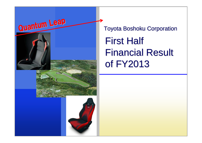

**Toyota Boshoku Corporation First Half Financial Result** of **FY2013**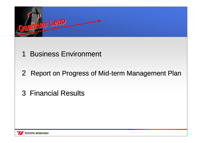

# 1 Business Environment

# 2 Report on Progress of Mid-term Management Plan

# 3 Financial Results

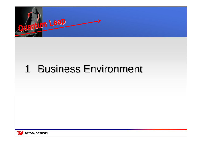

#### 1 Business Environment 1

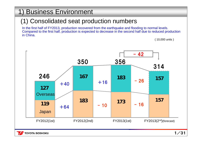# 1) Business Environment 1) Business Environment

### (1) Consolidated seat production numbers

In the first half of FY2013, production recovered from the earthquake and flooding to normal levels. Compared to the first half, production is expected to decrease in the second half due to reduced production in China.

( 10,000 units )



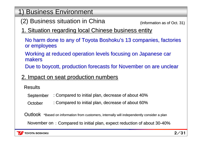- 1) Business Environment 1) Business Environment
	- (2) Business situation in China

(Information as of Oct. 31) (Information as of Oct. 31)

1. Situation regarding local Chinese business entity

No harm done to any of Toyota Boshoku's 13 companies, factories or employees

Working at reduced operation levels focusing on Japanese car makers

Due to boycott, production forecasts for November on are unclear

### 2. Impact on seat production numbers

Results

- September : Compared to initial plan, decrease of about 40%
- October : Compared to initial plan, decrease of about 60%

 $\mathsf{Outlook}$   $~$  \*Based on information from customers, internally will independently consider a plan

November on  $\colon$  Compared to initial plan, expect reduction of about 30-40% :

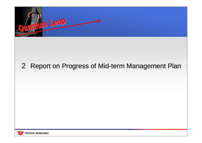

# 2 Report on Progress of Mid-term Management Plan

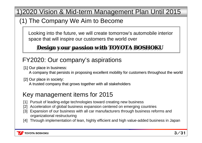1) 2020 Vision & Mid-term Management Plan Until 2015

### (1) The Company We Aim to Become

Looking into the future, we will create tomorrow's automobile interior space that will inspire our customers the world over

# *Design your passion with TOYOTA BOSHOKU Design your passion with TOYOTA BOSHOKU*

# FY2020: Our company's aspirations

[1] Our place in business:

A company that persists in proposing excellent mobility for customers throughout the world

 $[2]$  Our place in society:

A trusted company that grows together with all stakeholders

### Key management items for 2015

- [1] Pursuit of leading-edge technologies toward creating new business
- [2] Acceleration of global business expansion centered on emerging countries
- [3] Expansion of our business with all car manufacturers through business reforms and organizational restructuring
- [4] Through implementation of lean, highly efficient and high value-added business in Japan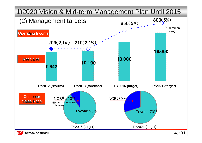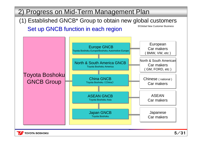2) Progress on Mid-Term Management Plan Set up GNCB function in each region (1) Established GNCB\* Group to obtain new global customers ※Global New Customer Business



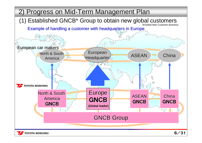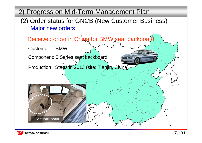2) Progress on Mid-Term Management Plan **Major new orders** (2) Order status for GNCB (New Customer Business) Received order in China for BMW seat backboard Component: 5 Series seat backboard Production : Starts in 2013 (site: Tianjin, China) Seat backboard Customer : BMW

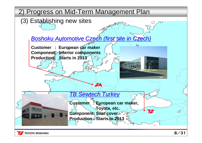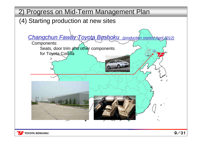2) Progress on Mid-Term Management Plan 2) Progress on Mid-Term Management Plan

(4) Starting production at new sites

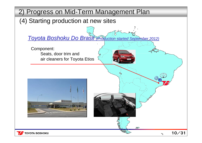2) Progress on Mid-Term Management Plan 2) Progress on Mid-Term Management Plan

(4) Starting production at new sites

*Toyota Boshoku Do Brasil Production started September 2012)* 

10/31

O

 $\partial F$ 

Component: Seats, door trim and air cleaners for Toyota Etios

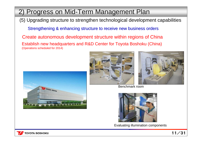# 2) Progress on Mid-Term Management Plan

(5) Upgrading structure to strengthen technological development capabilities

Strengthening & enhancing structure to receive new business orders

Establish new headquarters and R&D Center for Toyota Boshoku (China) (Operations scheduled for 2014) Create autonomous development structure within regions of China







Benchmark room



Evaluating illumination components

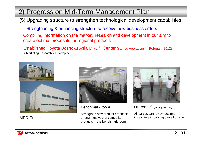# 2) Progress on Mid-Term Management Plan

(5) Upgrading structure to strengthen technological development capabilities

Strengthening & enhancing structure to receive new business orders Compiling information on the market, research and development in our aim to create optimal proposals for regional products

Established Toyota Boshoku Asia MRD※ Center (started operations in February 2012) ※Marketing Research & Development



MRD Center



Benchmark room

Strengthen new product proposals through analysis of competitor products in the benchmark room



DR room※ (※Design Review)

All parties can review designs in real time improving overall quality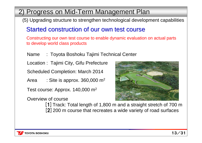# 2) Progress on Mid-Term Management Plan 2) Progress on Mid-Term Management Plan

(5) Upgrading structure to strengthen technological development capabilities

### Started construction of our own test course

Constructing our own test course to enable dynamic evaluation on actual parts to develop world class products

Name : Toyota Boshoku Tajimi Technical Center

Location : Tajimi City, Gifu Prefecture

Scheduled Completion: March 2014

Area  $\qquad \, :$  Site is approx. 360,000 m<sup>2</sup>

Test course: Approx. 140,000 m $^{\rm 2}$ 

Overview of course



[1] Track: Total length of 1,800 m and a straight stretch of 700 m [2] 200 m course that recreates a wide variety of road surfaces

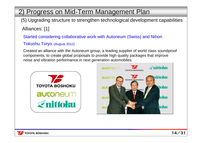# 2) Progress on Mid-Term Management Plan

- (5) Upgrading structure to strengthen technological development capabilities Alliances: [1]
	- Started considering collaborative work with Autoneum (Swiss) and Nihon

#### Tokushu Toryo (August 2012)

Created an alliance with the Autoneum group, a leading supplier of world class soundproof components, to create global proposals to provide high quality packages that improve noise and vibration performance in next generation automobiles.



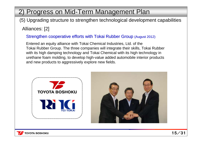# 2) Progress on Mid-Term Management Plan

# (5) Upgrading structure to strengthen technological development capabilities

#### Alliances: [2]

#### Strengthen cooperative efforts with Tokai Rubber Group (August 2012)

Entered an equity alliance with Tokai Chemical Industries, Ltd. of the Tokai Rubber Group. The three companies will integrate their skills, Tokai Rubber with its high damping technology and Tokai Chemical with its high technology in urethane foam molding, to develop high-value added automobile interior products and new products to aggressively explore new fields.



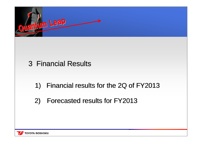

3 Financial Results

- 1) Financial results for the 2Q of FY2013
- 2) Forecasted results for FY2013

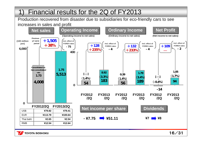# 1) Financial results for the 2Q of FY2013 1) Financial results for the 2Q of FY2013

Production recovered from disaster due to subsidiaries for eco-friendly cars to see increases in sales and profit

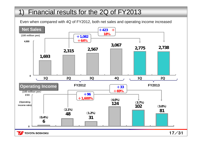# 1) Financial results for the 2Q of FY2013

Even when compared with 4Q of FY2012, both net sales and operating income increased



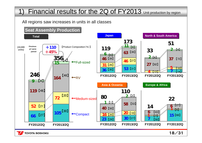# 1) Financial results for the 2Q of FY2013 Unit production by region

All regions saw increases in units in all classes



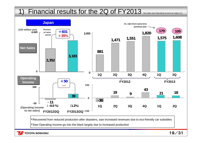### 1) Financial results for the 2Q of FY2013 Net sales and Operating income by region (1)



・Recovered from reduced production after disasters, saw increased revenues due to eco-friendly car subsidies

・Saw Operating Income go into the black largely due to increased production

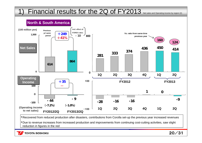### 1) Financial results for the 2Q of FY2013 Net sales and Operating income by region (2)



・Recovered from reduced production after disasters, contributions from Corolla set-up the previous year increased revenues

・Due to revenue increases from increased production and improvements from continuing cost-cutting activities, saw slight reduction in figures in the red

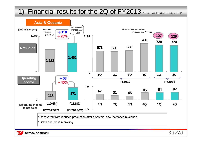### 1) Financial results for the 2Q of FY2013 Net sales and Operating income by region (3)

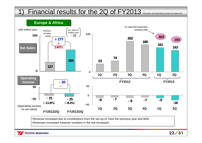### 1) Financial results for the 2Q of FY2013 Net sales and Operating income by region (4)



・Revenue increased due to contributions from the set-up of Yaris the previous year and BAE.

・Revenues increased however numbers in the red increased.

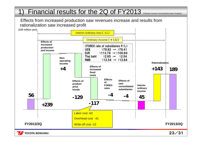### 1) Financial results for the 2Q of FY2013 Ordinary Income Increase/Decrease Analysis

#### Effects from increased production saw revenues increase and results from rationalization saw increased profit

**(100 million yen)**



**TOYOTA BOSHOKU**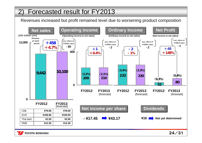# 2) Forecasted result for FY2013 2) Forecasted result for FY2013

Revenues increased but profit remained level due to worsening product composition



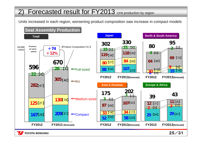# 2) Forecasted result for FY2013 Unit production by region

Units increased in each region, worsening product composition saw increase in compact models



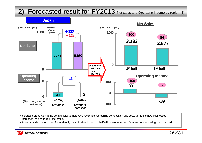### 2) Forecasted result for FY2013 Net sales and Operating income by region (1)



・Increased production in the 1st half lead to increased revenues, worsening composition and costs to handle new businesses increased leading to reduced profits

・Expect that discontinuance of eco-friendly car subsidies in the 2nd half will cause reduction, forecast numbers will go into the red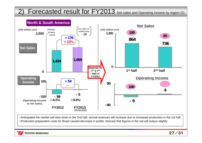### 2) Forecasted result for FY2013 Net sales and Operating income by region (2)



・Anticipated the market will slow down in the 2nd half, annual revenues will increase due to increased production in the 1st half ・Production preparation costs for Brazil caused decrease in profits, forecast that figures in the red will reduce slightly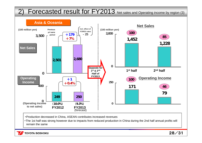### 2) Forecasted result for FY2013 Net sales and Operating income by region (3)



・Production decreased in China, ASEAN contributes increased revenues

・The 1st half was strong however due to impacts from reduced production in China during the 2nd half annual profits will remain the same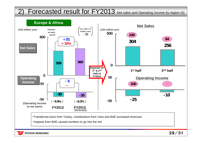### 2) Forecasted result for FY2013 Net sales and Operating income by region (4)



・Impacts from BAE caused numbers to go into the red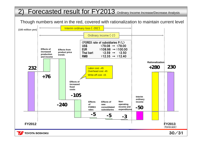# 2) Forecasted result for FY2013 Ordinary Income Increase/Decrease Analysis

Though numbers went in the red, covered with rationalization to maintain current level